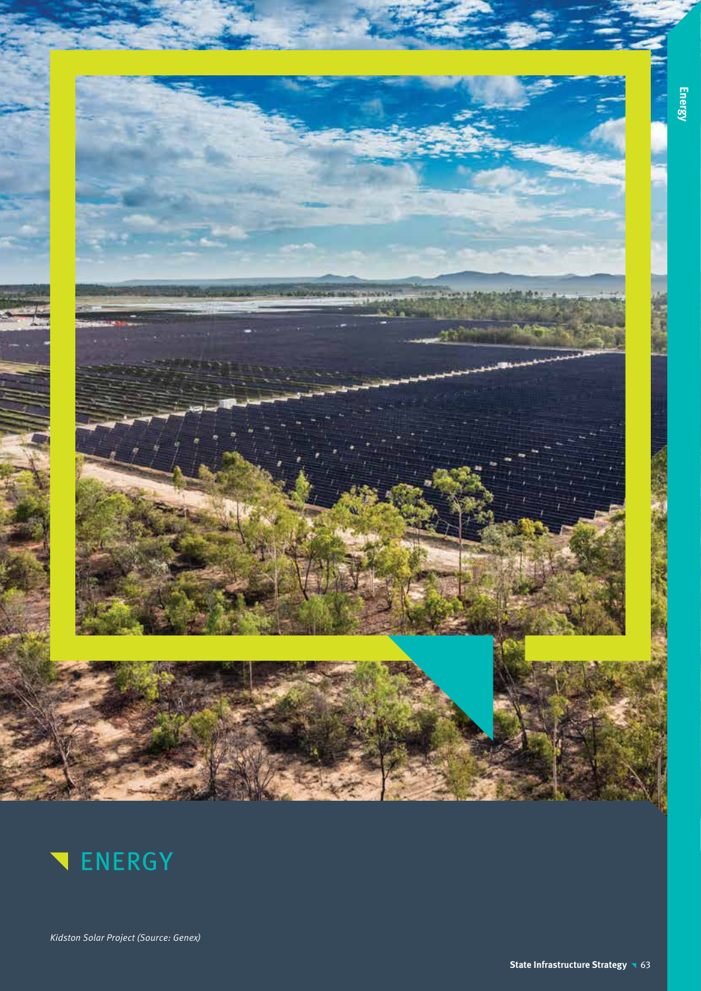



Kidston Solar Project (Source: Genex)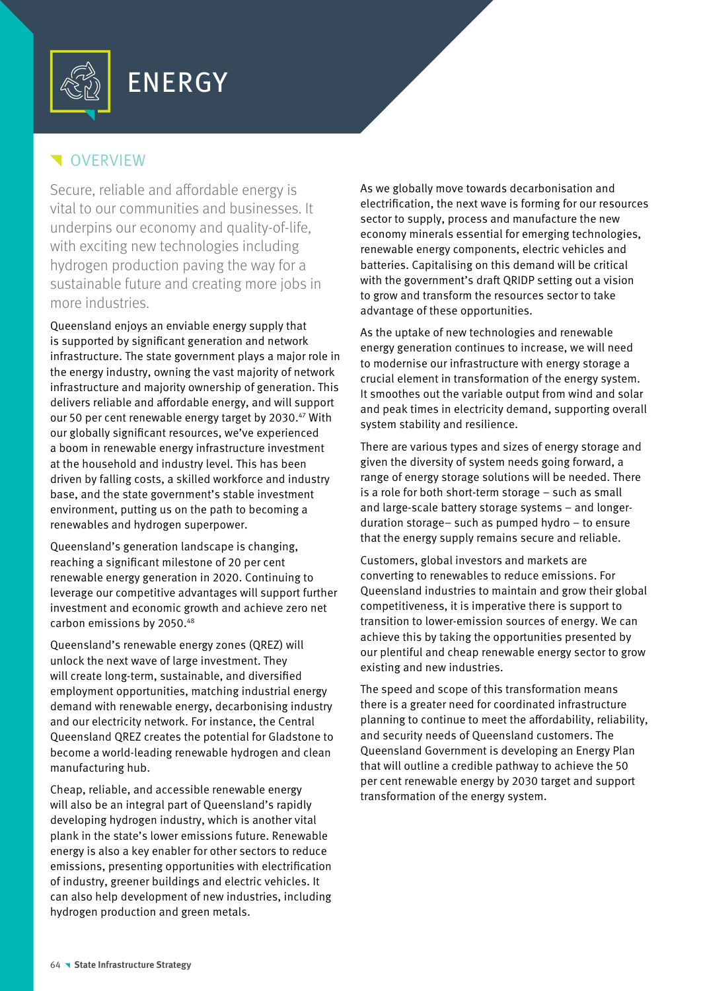

## **N**OVERVIEW

Secure, reliable and affordable energy is vital to our communities and businesses. It underpins our economy and quality-of-life, with exciting new technologies including hydrogen production paving the way for a sustainable future and creating more jobs in more industries.

Queensland enjoys an enviable energy supply that is supported by significant generation and network infrastructure. The state government plays a major role in the energy industry, owning the vast majority of network infrastructure and majority ownership of generation. This delivers reliable and affordable energy, and will support our 50 per cent renewable energy target by 2030.<sup>47</sup> With our globally significant resources, we've experienced a boom in renewable energy infrastructure investment at the household and industry level. This has been driven by falling costs, a skilled workforce and industry base, and the state government's stable investment environment, putting us on the path to becoming a renewables and hydrogen superpower.

Queensland's generation landscape is changing, reaching a significant milestone of 20 per cent renewable energy generation in 2020. Continuing to leverage our competitive advantages will support further investment and economic growth and achieve zero net carbon emissions by 2050.48

Queensland's renewable energy zones (QREZ) will unlock the next wave of large investment. They will create long-term, sustainable, and diversified employment opportunities, matching industrial energy demand with renewable energy, decarbonising industry and our electricity network. For instance, the Central Queensland QREZ creates the potential for Gladstone to become a world-leading renewable hydrogen and clean manufacturing hub.

Cheap, reliable, and accessible renewable energy will also be an integral part of Queensland's rapidly developing hydrogen industry, which is another vital plank in the state's lower emissions future. Renewable energy is also a key enabler for other sectors to reduce emissions, presenting opportunities with electrification of industry, greener buildings and electric vehicles. It can also help development of new industries, including hydrogen production and green metals.

As we globally move towards decarbonisation and electrification, the next wave is forming for our resources sector to supply, process and manufacture the new economy minerals essential for emerging technologies, renewable energy components, electric vehicles and batteries. Capitalising on this demand will be critical with the government's draft QRIDP setting out a vision to grow and transform the resources sector to take advantage of these opportunities.

As the uptake of new technologies and renewable energy generation continues to increase, we will need to modernise our infrastructure with energy storage a crucial element in transformation of the energy system. It smoothes out the variable output from wind and solar and peak times in electricity demand, supporting overall system stability and resilience.

There are various types and sizes of energy storage and given the diversity of system needs going forward, a range of energy storage solutions will be needed. There is a role for both short-term storage – such as small and large-scale battery storage systems – and longerduration storage– such as pumped hydro – to ensure that the energy supply remains secure and reliable.

Customers, global investors and markets are converting to renewables to reduce emissions. For Queensland industries to maintain and grow their global competitiveness, it is imperative there is support to transition to lower-emission sources of energy. We can achieve this by taking the opportunities presented by our plentiful and cheap renewable energy sector to grow existing and new industries.

The speed and scope of this transformation means there is a greater need for coordinated infrastructure planning to continue to meet the affordability, reliability, and security needs of Queensland customers. The Queensland Government is developing an Energy Plan that will outline a credible pathway to achieve the 50 per cent renewable energy by 2030 target and support transformation of the energy system.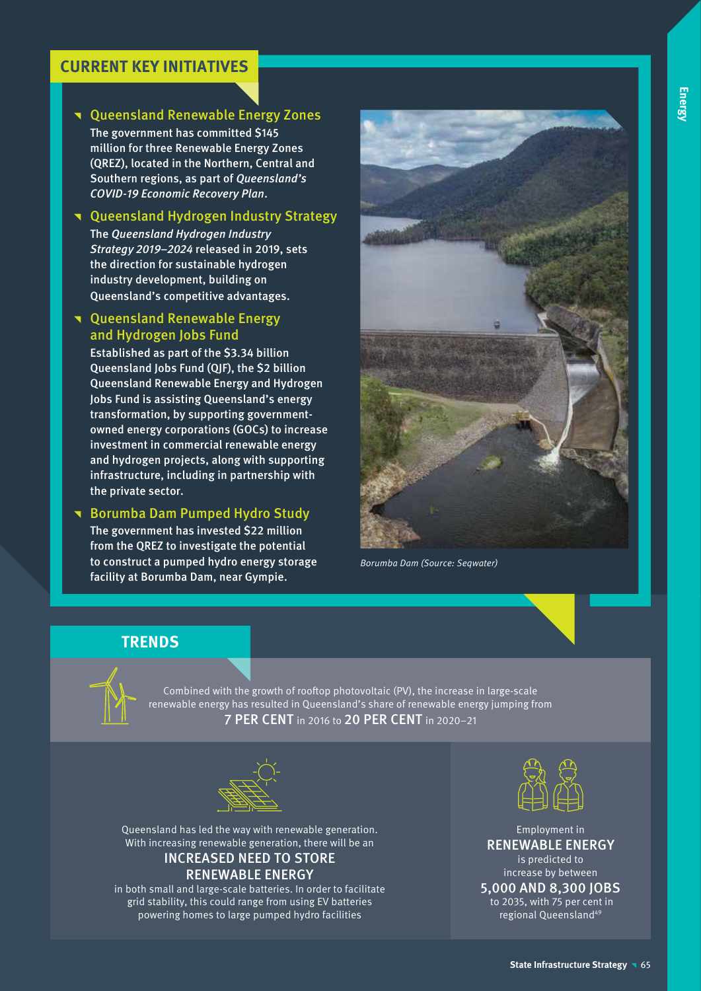### **CURRENT KEY INITIATIVES**

### **T** Queensland Renewable Energy Zones

The government has committed \$145 million for three Renewable Energy Zones (QREZ), located in the Northern, Central and Southern regions, as part of Queensland's COVID-19 Economic Recovery Plan.

### **T** Queensland Hydrogen Industry Strategy

The Queensland Hydrogen Industry Strategy 2019–2024 released in 2019, sets the direction for sustainable hydrogen industry development, building on Queensland's competitive advantages.

### **T** Queensland Renewable Energy and Hydrogen Jobs Fund

Established as part of the \$3.34 billion Queensland Jobs Fund (QJF), the \$2 billion Queensland Renewable Energy and Hydrogen Jobs Fund is assisting Queensland's energy transformation, by supporting governmentowned energy corporations (GOCs) to increase investment in commercial renewable energy and hydrogen projects, along with supporting infrastructure, including in partnership with the private sector.

**Borumba Dam Pumped Hydro Study** The government has invested \$22 million from the QREZ to investigate the potential to construct a pumped hydro energy storage

facility at Borumba Dam, near Gympie.



Borumba Dam (Source: Seqwater)

### **TRENDS**



Combined with the growth of rooftop photovoltaic (PV), the increase in large-scale renewable energy has resulted in Queensland's share of renewable energy jumping from 7 PER CENT in 2016 to 20 PER CENT in 2020–21



Queensland has led the way with renewable generation. With increasing renewable generation, there will be an INCREASED NEED TO STORE

### RENEWABLE ENERGY

in both small and large-scale batteries. In order to facilitate grid stability, this could range from using EV batteries powering homes to large pumped hydro facilities



Employment in RENEWABLE ENERGY is predicted to increase by between

### 5,000 AND 8,300 JOBS

 to 2035, with 75 per cent in regional Queensland49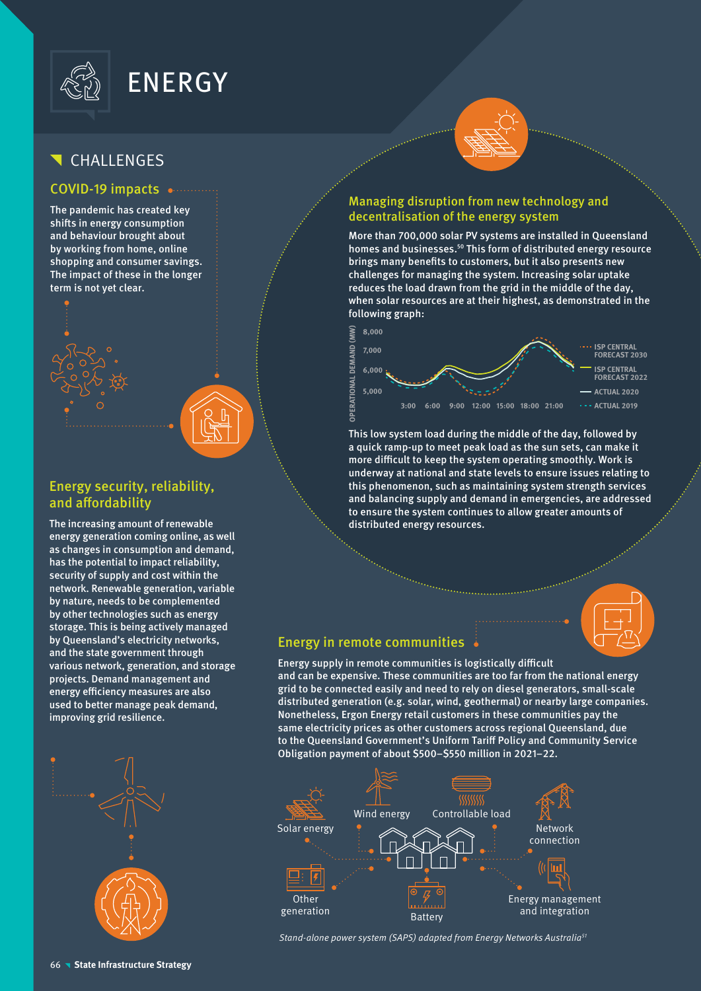

# ENERGY

## CHALLENGES

### COVID-19 impacts

The pandemic has created key shifts in energy consumption and behaviour brought about by working from home, online shopping and consumer savings. The impact of these in the longer term is not yet clear.



### Energy security, reliability, and affordability

The increasing amount of renewable energy generation coming online, as well as changes in consumption and demand, has the potential to impact reliability, security of supply and cost within the network. Renewable generation, variable by nature, needs to be complemented by other technologies such as energy storage. This is being actively managed by Queensland's electricity networks, and the state government through various network, generation, and storage projects. Demand management and energy efficiency measures are also used to better manage peak demand, improving grid resilience.



### Managing disruption from new technology and decentralisation of the energy system

More than 700,000 solar PV systems are installed in Queensland homes and businesses.<sup>50</sup> This form of distributed energy resource brings many benefits to customers, but it also presents new challenges for managing the system. Increasing solar uptake reduces the load drawn from the grid in the middle of the day, when solar resources are at their highest, as demonstrated in the following graph:



This low system load during the middle of the day, followed by a quick ramp-up to meet peak load as the sun sets, can make it more difficult to keep the system operating smoothly. Work is underway at national and state levels to ensure issues relating to this phenomenon, such as maintaining system strength services and balancing supply and demand in emergencies, are addressed to ensure the system continues to allow greater amounts of distributed energy resources.



### Energy in remote communities

Energy supply in remote communities is logistically difficult and can be expensive. These communities are too far from the national energy grid to be connected easily and need to rely on diesel generators, small-scale distributed generation (e.g. solar, wind, geothermal) or nearby large companies. Nonetheless, Ergon Energy retail customers in these communities pay the same electricity prices as other customers across regional Queensland, due to the Queensland Government's Uniform Tariff Policy and Community Service Obligation payment of about \$500–\$550 million in 2021–22.



Stand-alone power system (SAPS) adapted from Energy Networks Australia<sup>51</sup>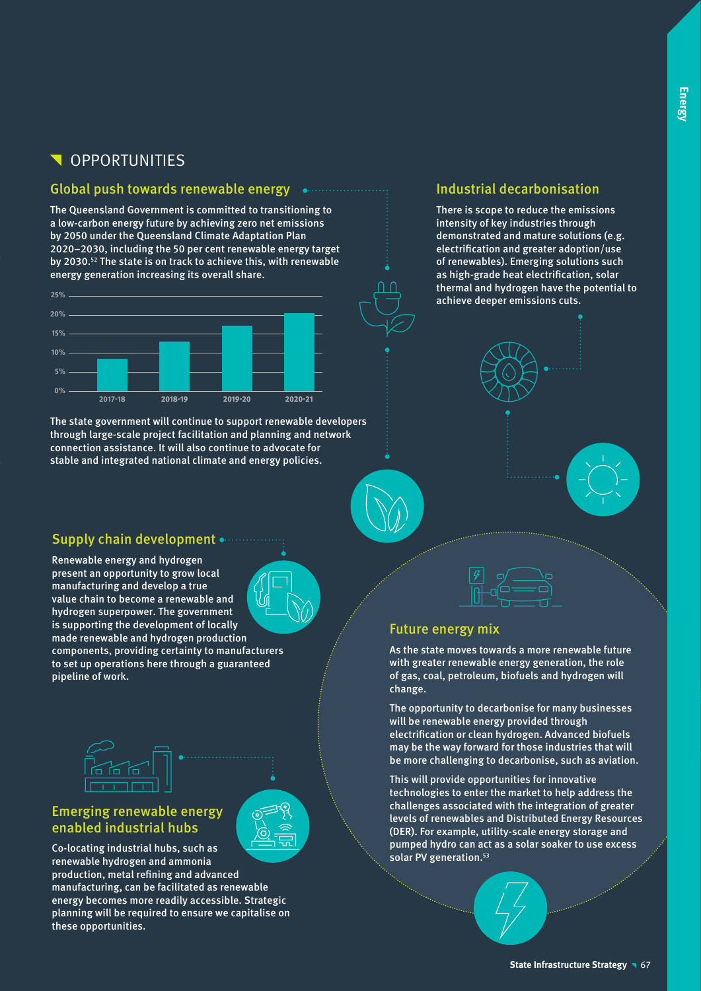## **N** OPPORTUNITIES

### Global push towards renewable energy successively

The Queensland Government is committed to transitioning to a low-carbon energy future by achieving zero net emissions by 2050 under the Queensland Climate Adaptation Plan 2020–2030, including the 50 per cent renewable energy target by 2030.52 The state is on track to achieve this, with renewable energy generation increasing its overall share.



The state government will continue to support renewable developers through large-scale project facilitation and planning and network connection assistance. It will also continue to advocate for stable and integrated national climate and energy policies.

### Supply chain development .....

Renewable energy and hydrogen present an opportunity to grow local manufacturing and develop a true value chain to become a renewable and hydrogen superpower. The government is supporting the development of locally made renewable and hydrogen production components, providing certainty to manufacturers to set up operations here through a guaranteed pipeline of work.





### Emerging renewable energy enabled industrial hubs



Co-locating industrial hubs, such as renewable hydrogen and ammonia production, metal refining and advanced manufacturing, can be facilitated as renewable energy becomes more readily accessible. Strategic planning will be required to ensure we capitalise on these opportunities.

### Industrial decarbonisation

There is scope to reduce the emissions intensity of key industries through demonstrated and mature solutions (e.g. electrification and greater adoption/use of renewables). Emerging solutions such as high-grade heat electrification, solar thermal and hydrogen have the potential to achieve deeper emissions cuts.





### Future energy mix

As the state moves towards a more renewable future with greater renewable energy generation, the role of gas, coal, petroleum, biofuels and hydrogen will change.

The opportunity to decarbonise for many businesses will be renewable energy provided through electrification or clean hydrogen. Advanced biofuels may be the way forward for those industries that will be more challenging to decarbonise, such as aviation.

This will provide opportunities for innovative technologies to enter the market to help address the challenges associated with the integration of greater levels of renewables and Distributed Energy Resources (DER). For example, utility-scale energy storage and pumped hydro can act as a solar soaker to use excess solar PV generation.<sup>53</sup>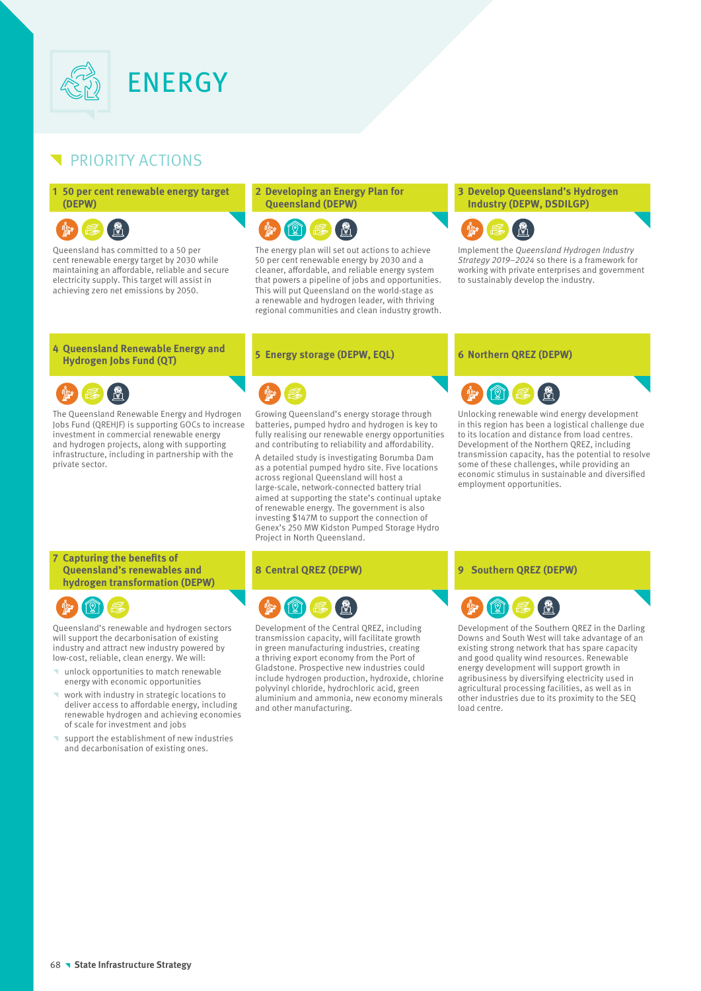

### PRIORITY ACTIONS

#### **1 50 per cent renewable energy target (DEPW)**

Queensland has committed to a 50 per cent renewable energy target by 2030 while maintaining an affordable, reliable and secure electricity supply. This target will assist in achieving zero net emissions by 2050.

#### **2 Developing an Energy Plan for Queensland (DEPW)**



The energy plan will set out actions to achieve 50 per cent renewable energy by 2030 and a cleaner, affordable, and reliable energy system that powers a pipeline of jobs and opportunities. This will put Queensland on the world-stage as a renewable and hydrogen leader, with thriving regional communities and clean industry growth.

#### **3 Develop Queensland's Hydrogen Industry (DEPW, DSDILGP)**



Implement the Queensland Hydrogen Industry Strategy 2019–2024 so there is a framework for working with private enterprises and government to sustainably develop the industry.

# **4 Queensland Renewable Energy and**

The Queensland Renewable Energy and Hydrogen Jobs Fund (QREHJF) is supporting GOCs to increase investment in commercial renewable energy and hydrogen projects, along with supporting infrastructure, including in partnership with the private sector.

### **Hydrogen Jobs Fund (QT) <sup>5</sup> Energy storage (DEPW, EQL) <sup>6</sup> Northern QREZ (DEPW)**

Growing Queensland's energy storage through batteries, pumped hydro and hydrogen is key to fully realising our renewable energy opportunities and contributing to reliability and affordability. A detailed study is investigating Borumba Dam as a potential pumped hydro site. Five locations across regional Queensland will host a large-scale, network-connected battery trial aimed at supporting the state's continual uptake of renewable energy. The government is also investing \$147M to support the connection of Genex's 250 MW Kidston Pumped Storage Hydro Project in North Queensland.



Unlocking renewable wind energy development in this region has been a logistical challenge due to its location and distance from load centres. Development of the Northern QREZ, including transmission capacity, has the potential to resolve some of these challenges, while providing an economic stimulus in sustainable and diversified employment opportunities.

#### **7 Capturing the benefits of Queensland's renewables and hydrogen transformation (DEPW)**



Queensland's renewable and hydrogen sectors will support the decarbonisation of existing industry and attract new industry powered by low-cost, reliable, clean energy. We will:

- ^ unlock opportunities to match renewable energy with economic opportunities
- work with industry in strategic locations to deliver access to affordable energy, including renewable hydrogen and achieving economies of scale for investment and jobs
- support the establishment of new industries and decarbonisation of existing ones.



Development of the Central QREZ, including transmission capacity, will facilitate growth in green manufacturing industries, creating a thriving export economy from the Port of Gladstone. Prospective new industries could include hydrogen production, hydroxide, chlorine polyvinyl chloride, hydrochloric acid, green aluminium and ammonia, new economy minerals and other manufacturing.

### **8 Central QREZ (DEPW) 9 Southern QREZ (DEPW)**



Development of the Southern QREZ in the Darling Downs and South West will take advantage of an existing strong network that has spare capacity and good quality wind resources. Renewable energy development will support growth in agribusiness by diversifying electricity used in agricultural processing facilities, as well as in other industries due to its proximity to the SEQ load centre.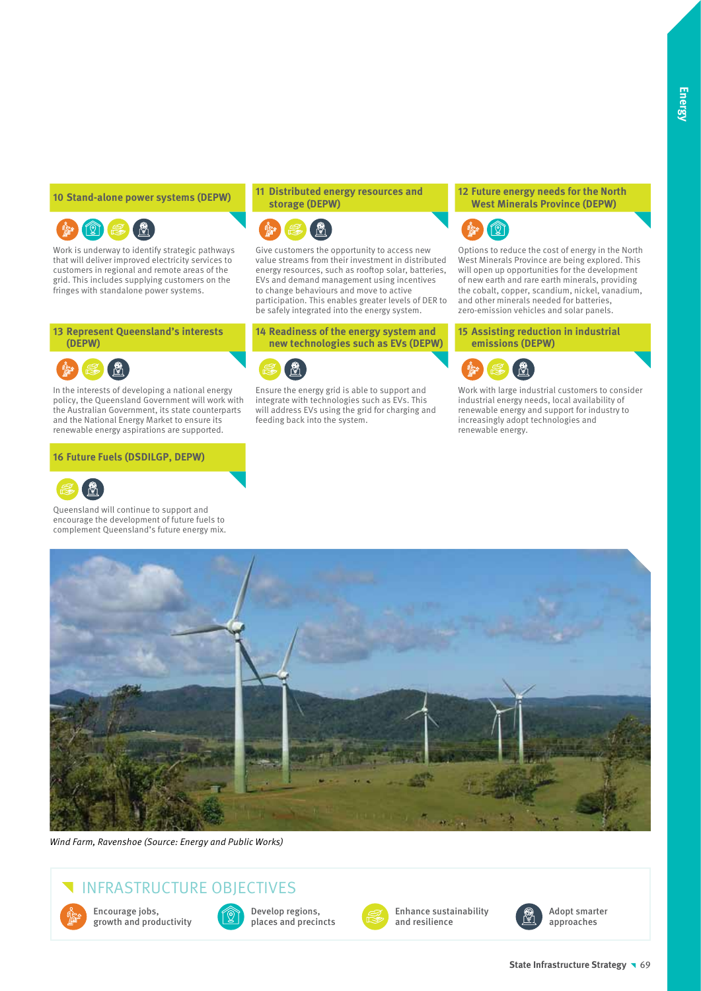### ๎Ѧ҈  $\circledR$

Work is underway to identify strategic pathways that will deliver improved electricity services to customers in regional and remote areas of the grid. This includes supplying customers on the fringes with standalone power systems.

**13 Represent Queensland's interests (DEPW)**

In the interests of developing a national energy policy, the Queensland Government will work with the Australian Government, its state counterparts and the National Energy Market to ensure its renewable energy aspirations are supported.

#### **16 Future Fuels (DSDILGP, DEPW)**



Queensland will continue to support and encourage the development of future fuels to complement Queensland's future energy mix.

#### **<sup>10</sup> Stand-alone power systems (DEPW) <sup>11</sup> Distributed energy resources and storage (DEPW)**



Give customers the opportunity to access new value streams from their investment in distributed energy resources, such as rooftop solar, batteries, EVs and demand management using incentives to change behaviours and move to active participation. This enables greater levels of DER to be safely integrated into the energy system.

**14 Readiness of the energy system and new technologies such as EVs (DEPW)**



Ensure the energy grid is able to support and integrate with technologies such as EVs. This will address EVs using the grid for charging and feeding back into the system.

#### **12 Future energy needs for the North West Minerals Province (DEPW)**



Options to reduce the cost of energy in the North West Minerals Province are being explored. This will open up opportunities for the development of new earth and rare earth minerals, providing the cobalt, copper, scandium, nickel, vanadium, and other minerals needed for batteries, zero-emission vehicles and solar panels.

**15 Assisting reduction in industrial emissions (DEPW)**



Work with large industrial customers to consider industrial energy needs, local availability of renewable energy and support for industry to increasingly adopt technologies and renewable energy.



Wind Farm, Ravenshoe (Source: Energy and Public Works)

## INFRASTRUCTURE OBJECTIVES



Encourage jobs, growth and productivity



Develop regions, places and precincts



Enhance sustainability and resilience



Adopt smarter approaches